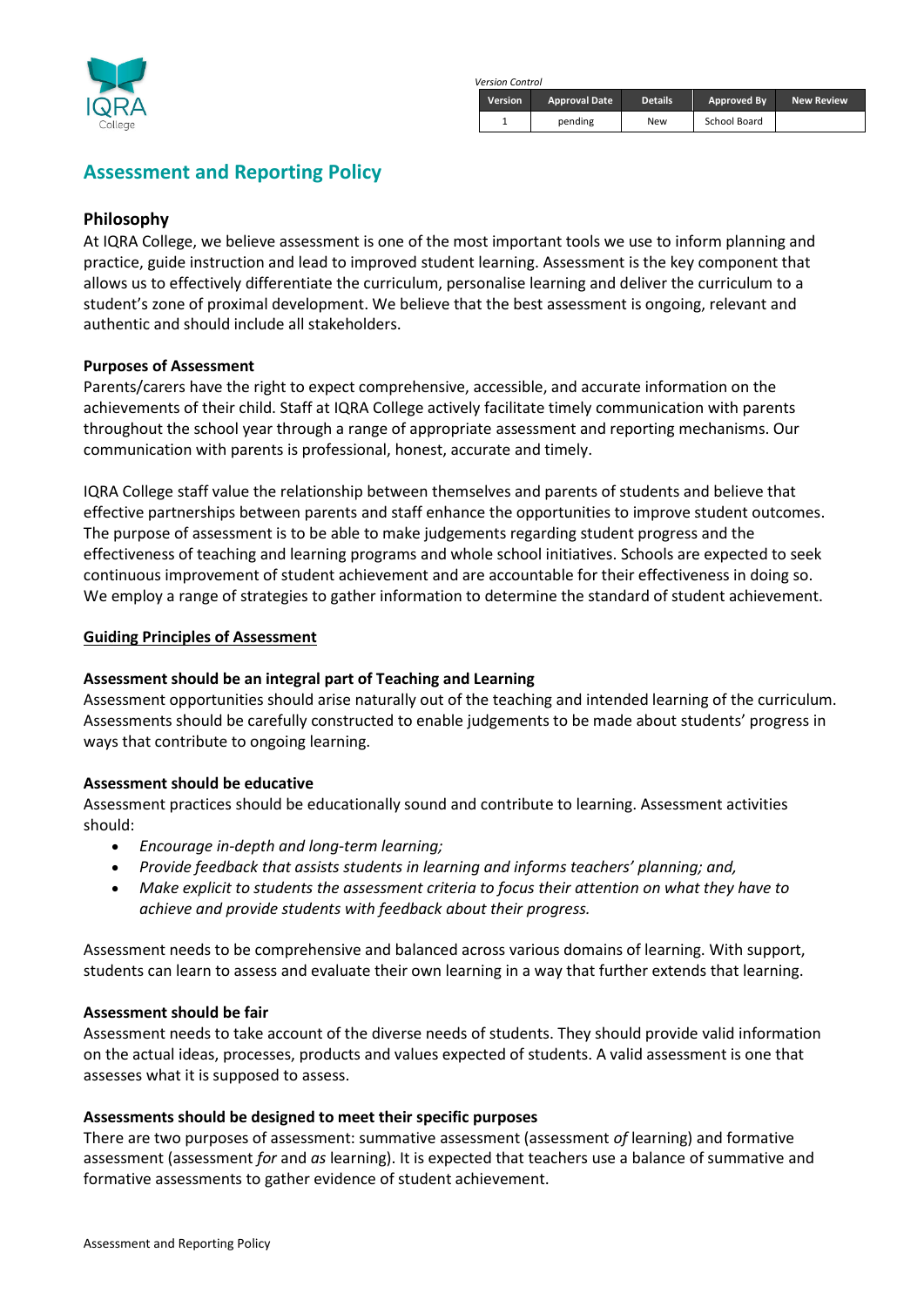

*Version Control*

| <b>Version</b> | <b>Approval Date</b> | <b>Details</b> | Approved By  | <b>New Review</b> |
|----------------|----------------------|----------------|--------------|-------------------|
|                | pending              | New            | School Board |                   |

# **Assessment and Reporting Policy**

# **Philosophy**

At IQRA College, we believe assessment is one of the most important tools we use to inform planning and practice, guide instruction and lead to improved student learning. Assessment is the key component that allows us to effectively differentiate the curriculum, personalise learning and deliver the curriculum to a student's zone of proximal development. We believe that the best assessment is ongoing, relevant and authentic and should include all stakeholders.

#### **Purposes of Assessment**

Parents/carers have the right to expect comprehensive, accessible, and accurate information on the achievements of their child. Staff at IQRA College actively facilitate timely communication with parents throughout the school year through a range of appropriate assessment and reporting mechanisms. Our communication with parents is professional, honest, accurate and timely.

IQRA College staff value the relationship between themselves and parents of students and believe that effective partnerships between parents and staff enhance the opportunities to improve student outcomes. The purpose of assessment is to be able to make judgements regarding student progress and the effectiveness of teaching and learning programs and whole school initiatives. Schools are expected to seek continuous improvement of student achievement and are accountable for their effectiveness in doing so. We employ a range of strategies to gather information to determine the standard of student achievement.

#### **Guiding Principles of Assessment**

#### **Assessment should be an integral part of Teaching and Learning**

Assessment opportunities should arise naturally out of the teaching and intended learning of the curriculum. Assessments should be carefully constructed to enable judgements to be made about students' progress in ways that contribute to ongoing learning.

#### **Assessment should be educative**

Assessment practices should be educationally sound and contribute to learning. Assessment activities should:

- *Encourage in-depth and long-term learning;*
- *Provide feedback that assists students in learning and informs teachers' planning; and,*
- *Make explicit to students the assessment criteria to focus their attention on what they have to achieve and provide students with feedback about their progress.*

Assessment needs to be comprehensive and balanced across various domains of learning. With support, students can learn to assess and evaluate their own learning in a way that further extends that learning.

#### **Assessment should be fair**

Assessment needs to take account of the diverse needs of students. They should provide valid information on the actual ideas, processes, products and values expected of students. A valid assessment is one that assesses what it is supposed to assess.

#### **Assessments should be designed to meet their specific purposes**

There are two purposes of assessment: summative assessment (assessment *of* learning) and formative assessment (assessment *for* and *as* learning). It is expected that teachers use a balance of summative and formative assessments to gather evidence of student achievement.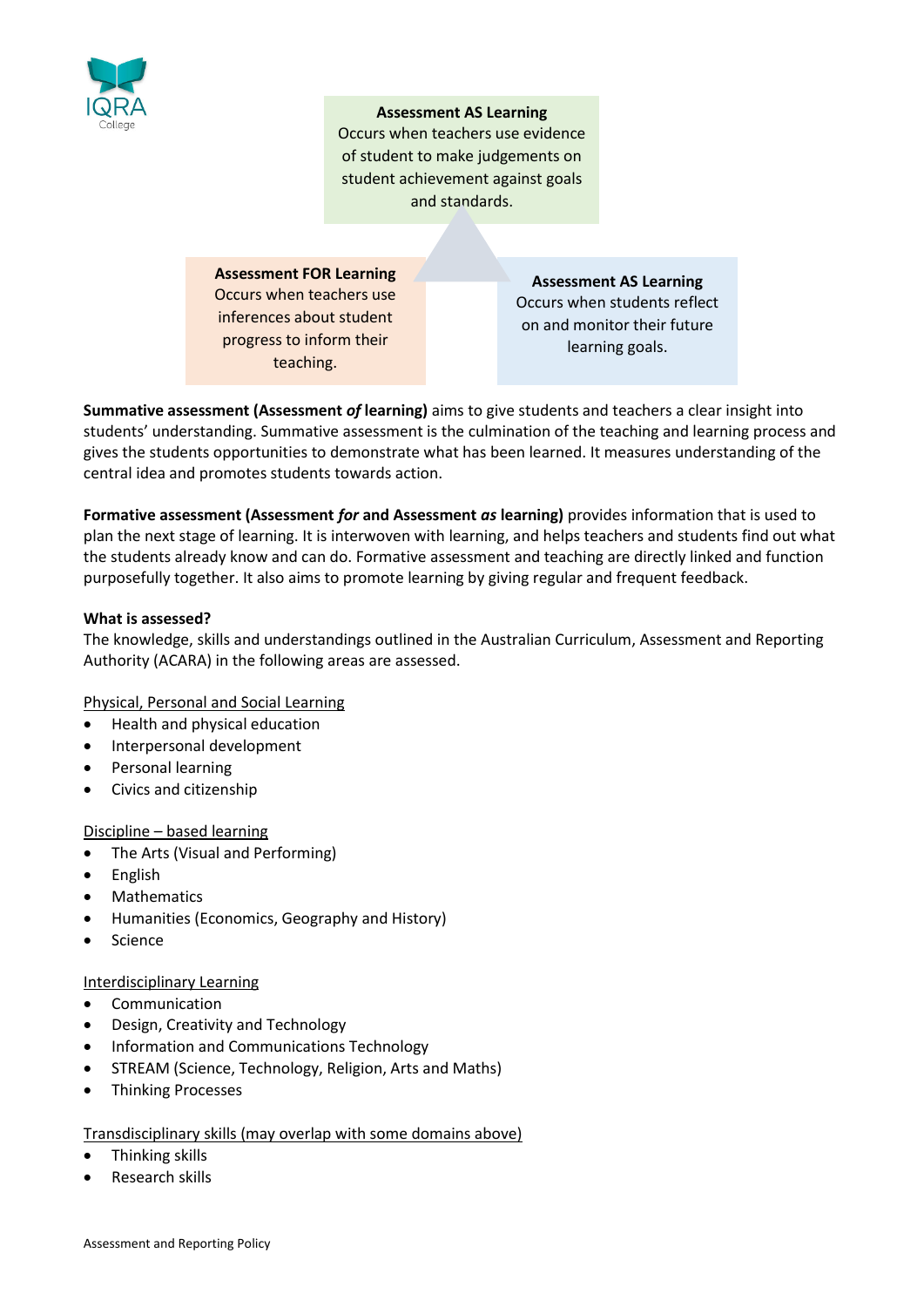

#### **Assessment AS Learning**

Occurs when teachers use evidence of student to make judgements on student achievement against goals and standards.

**Assessment FOR Learning** Occurs when teachers use inferences about student progress to inform their teaching.

**Assessment AS Learning** Occurs when students reflect on and monitor their future learning goals.

**Summative assessment (Assessment** *of* **learning)** aims to give students and teachers a clear insight into students' understanding. Summative assessment is the culmination of the teaching and learning process and gives the students opportunities to demonstrate what has been learned. It measures understanding of the central idea and promotes students towards action.

**Formative assessment (Assessment** *for* **and Assessment** *as* **learning)** provides information that is used to plan the next stage of learning. It is interwoven with learning, and helps teachers and students find out what the students already know and can do. Formative assessment and teaching are directly linked and function purposefully together. It also aims to promote learning by giving regular and frequent feedback.

# **What is assessed?**

The knowledge, skills and understandings outlined in the Australian Curriculum, Assessment and Reporting Authority (ACARA) in the following areas are assessed.

Physical, Personal and Social Learning

- Health and physical education
- Interpersonal development
- Personal learning
- Civics and citizenship

#### Discipline – based learning

- The Arts (Visual and Performing)
- English
- **Mathematics**
- Humanities (Economics, Geography and History)
- **Science**

## Interdisciplinary Learning

- Communication
- Design, Creativity and Technology
- Information and Communications Technology
- STREAM (Science, Technology, Religion, Arts and Maths)
- Thinking Processes

#### Transdisciplinary skills (may overlap with some domains above)

- Thinking skills
- Research skills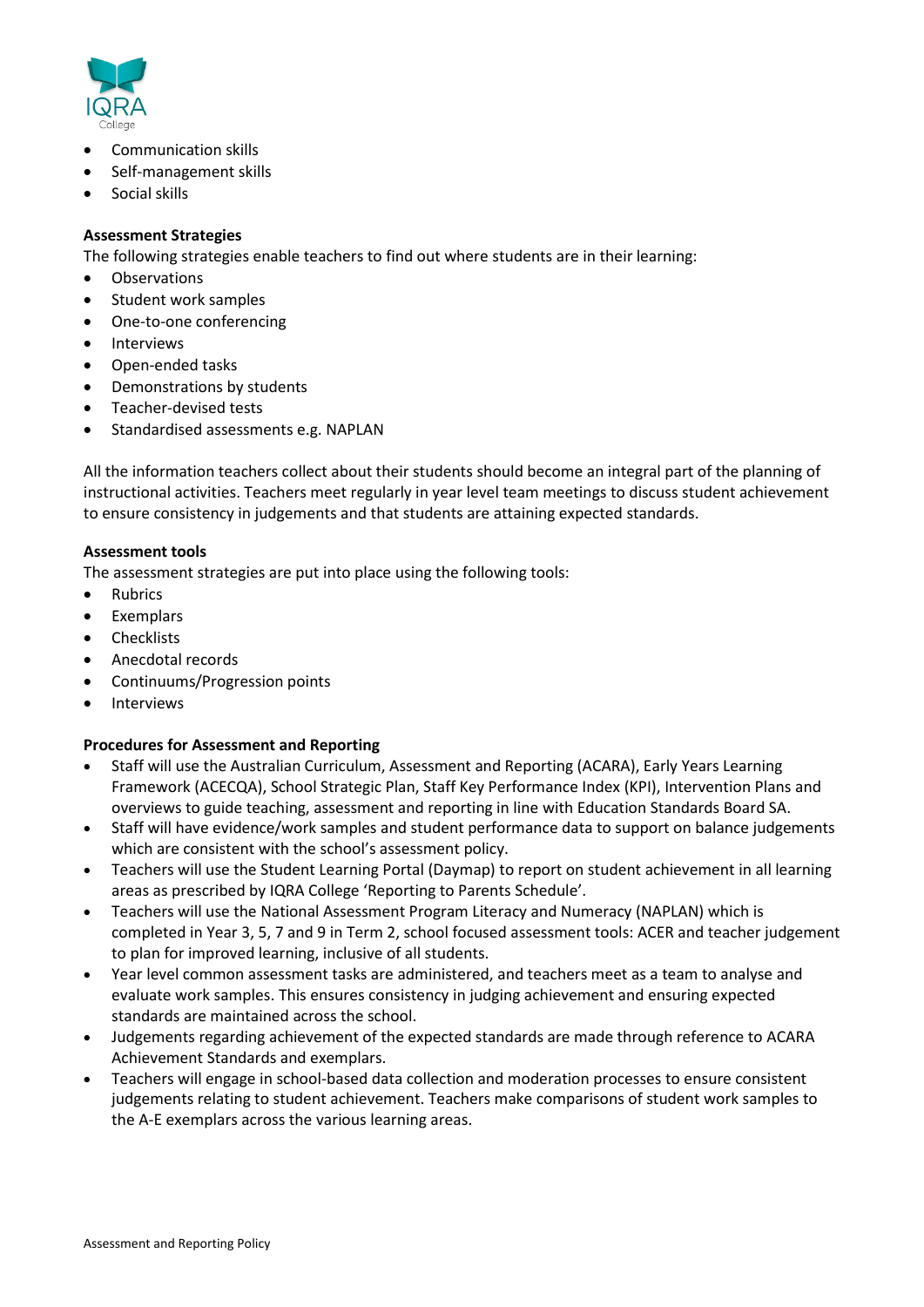

- Communication skills
- Self-management skills
- Social skills

## **Assessment Strategies**

The following strategies enable teachers to find out where students are in their learning:

- **Observations**
- Student work samples
- One-to-one conferencing
- **Interviews**
- Open-ended tasks
- Demonstrations by students
- Teacher-devised tests
- Standardised assessments e.g. NAPLAN

All the information teachers collect about their students should become an integral part of the planning of instructional activities. Teachers meet regularly in year level team meetings to discuss student achievement to ensure consistency in judgements and that students are attaining expected standards.

#### **Assessment tools**

The assessment strategies are put into place using the following tools:

- Rubrics
- Exemplars
- **Checklists**
- Anecdotal records
- Continuums/Progression points
- Interviews

#### **Procedures for Assessment and Reporting**

- Staff will use the Australian Curriculum, Assessment and Reporting (ACARA), Early Years Learning Framework (ACECQA), School Strategic Plan, Staff Key Performance Index (KPI), Intervention Plans and overviews to guide teaching, assessment and reporting in line with Education Standards Board SA.
- Staff will have evidence/work samples and student performance data to support on balance judgements which are consistent with the school's assessment policy.
- Teachers will use the Student Learning Portal (Daymap) to report on student achievement in all learning areas as prescribed by IQRA College 'Reporting to Parents Schedule'.
- Teachers will use the National Assessment Program Literacy and Numeracy (NAPLAN) which is completed in Year 3, 5, 7 and 9 in Term 2, school focused assessment tools: ACER and teacher judgement to plan for improved learning, inclusive of all students.
- Year level common assessment tasks are administered, and teachers meet as a team to analyse and evaluate work samples. This ensures consistency in judging achievement and ensuring expected standards are maintained across the school.
- Judgements regarding achievement of the expected standards are made through reference to ACARA Achievement Standards and exemplars.
- Teachers will engage in school-based data collection and moderation processes to ensure consistent judgements relating to student achievement. Teachers make comparisons of student work samples to the A-E exemplars across the various learning areas.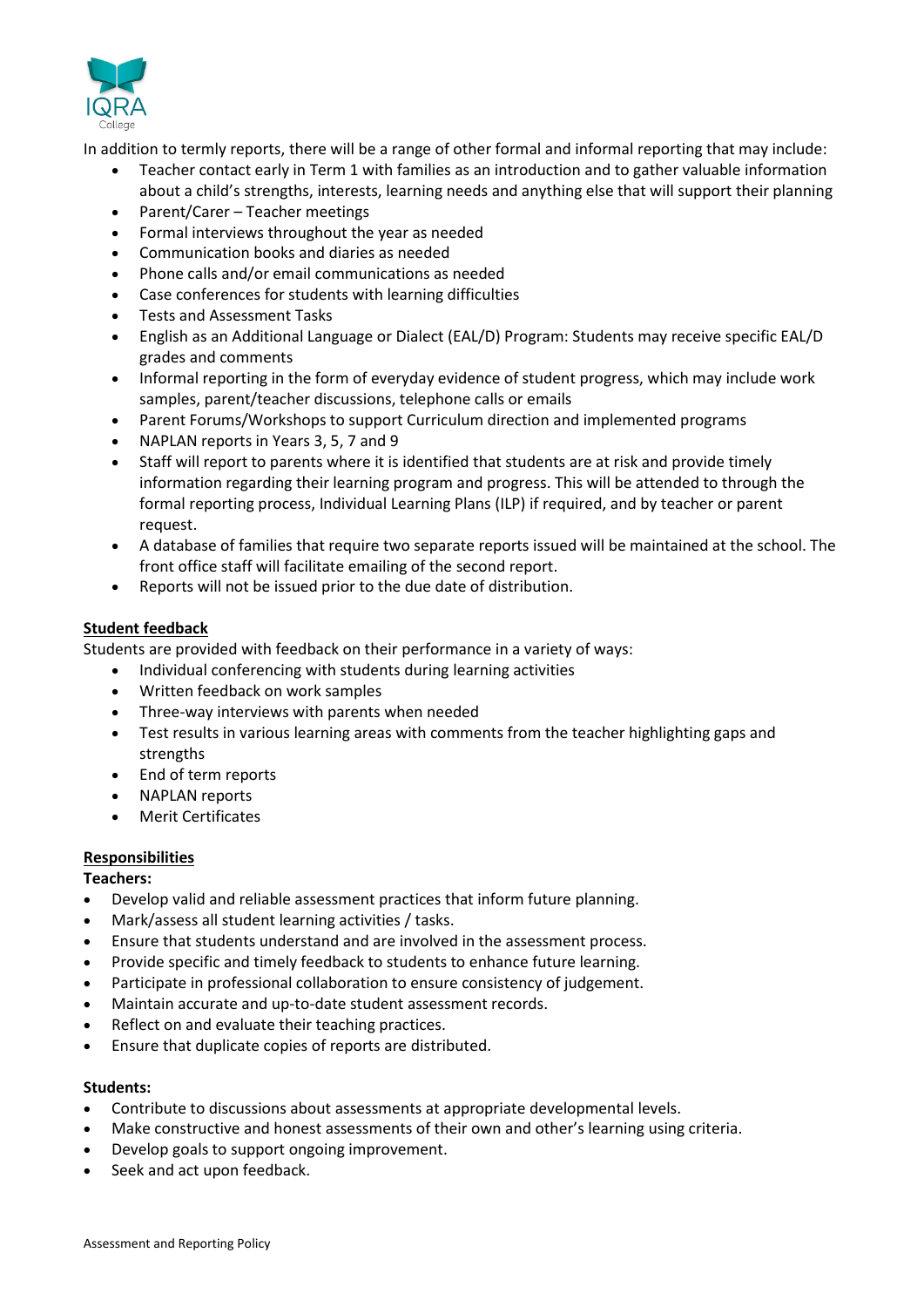

In addition to termly reports, there will be a range of other formal and informal reporting that may include:

- Teacher contact early in Term 1 with families as an introduction and to gather valuable information about a child's strengths, interests, learning needs and anything else that will support their planning
- Parent/Carer Teacher meetings
- Formal interviews throughout the year as needed
- Communication books and diaries as needed
- Phone calls and/or email communications as needed
- Case conferences for students with learning difficulties
- Tests and Assessment Tasks
- English as an Additional Language or Dialect (EAL/D) Program: Students may receive specific EAL/D grades and comments
- Informal reporting in the form of everyday evidence of student progress, which may include work samples, parent/teacher discussions, telephone calls or emails
- Parent Forums/Workshops to support Curriculum direction and implemented programs
- NAPLAN reports in Years 3, 5, 7 and 9
- Staff will report to parents where it is identified that students are at risk and provide timely information regarding their learning program and progress. This will be attended to through the formal reporting process, Individual Learning Plans (ILP) if required, and by teacher or parent request.
- A database of families that require two separate reports issued will be maintained at the school. The front office staff will facilitate emailing of the second report.
- Reports will not be issued prior to the due date of distribution.

#### **Student feedback**

Students are provided with feedback on their performance in a variety of ways:

- Individual conferencing with students during learning activities
- Written feedback on work samples
- Three-way interviews with parents when needed
- Test results in various learning areas with comments from the teacher highlighting gaps and strengths
- End of term reports
- NAPLAN reports
- Merit Certificates

#### **Responsibilities**

#### **Teachers:**

- Develop valid and reliable assessment practices that inform future planning.
- Mark/assess all student learning activities / tasks.
- Ensure that students understand and are involved in the assessment process.
- Provide specific and timely feedback to students to enhance future learning.
- Participate in professional collaboration to ensure consistency of judgement.
- Maintain accurate and up-to-date student assessment records.
- Reflect on and evaluate their teaching practices.
- Ensure that duplicate copies of reports are distributed.

#### **Students:**

- Contribute to discussions about assessments at appropriate developmental levels.
- Make constructive and honest assessments of their own and other's learning using criteria.
- Develop goals to support ongoing improvement.
- Seek and act upon feedback.